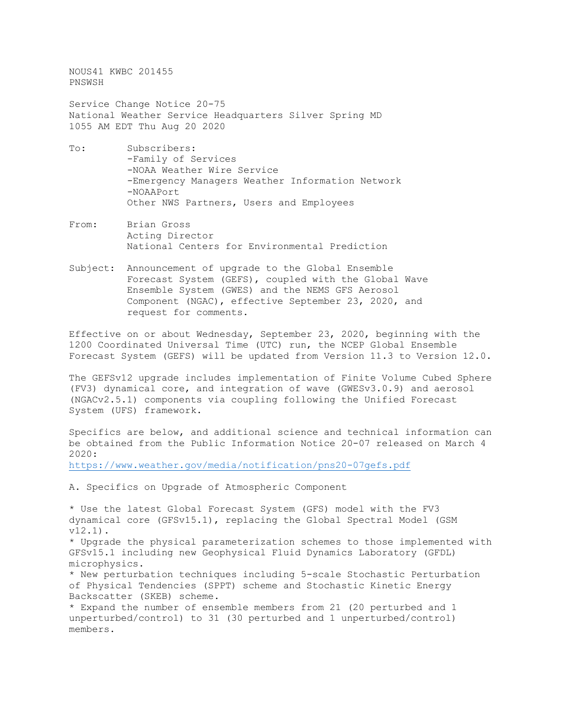NOUS41 KWBC 201455 PNSWSH

Service Change Notice 20-75 National Weather Service Headquarters Silver Spring MD 1055 AM EDT Thu Aug 20 2020

- To: Subscribers: -Family of Services -NOAA Weather Wire Service -Emergency Managers Weather Information Network -NOAAPort Other NWS Partners, Users and Employees
- From: Brian Gross Acting Director National Centers for Environmental Prediction
- Subject: Announcement of upgrade to the Global Ensemble Forecast System (GEFS), coupled with the Global Wave Ensemble System (GWES) and the NEMS GFS Aerosol Component (NGAC), effective September 23, 2020, and request for comments.

Effective on or about Wednesday, September 23, 2020, beginning with the 1200 Coordinated Universal Time (UTC) run, the NCEP Global Ensemble Forecast System (GEFS) will be updated from Version 11.3 to Version 12.0.

The GEFSv12 upgrade includes implementation of Finite Volume Cubed Sphere (FV3) dynamical core, and integration of wave (GWESv3.0.9) and aerosol (NGACv2.5.1) components via coupling following the Unified Forecast System (UFS) framework.

Specifics are below, and additional science and technical information can be obtained from the Public Information Notice 20-07 released on March 4 2020:

<https://www.weather.gov/media/notification/pns20-07gefs.pdf>

A. Specifics on Upgrade of Atmospheric Component

\* Use the latest Global Forecast System (GFS) model with the FV3 dynamical core (GFSv15.1), replacing the Global Spectral Model (GSM v12.1). \* Upgrade the physical parameterization schemes to those implemented with GFSv15.1 including new Geophysical Fluid Dynamics Laboratory (GFDL) microphysics. \* New perturbation techniques including 5-scale Stochastic Perturbation of Physical Tendencies (SPPT) scheme and Stochastic Kinetic Energy Backscatter (SKEB) scheme. \* Expand the number of ensemble members from 21 (20 perturbed and 1 unperturbed/control) to 31 (30 perturbed and 1 unperturbed/control) members.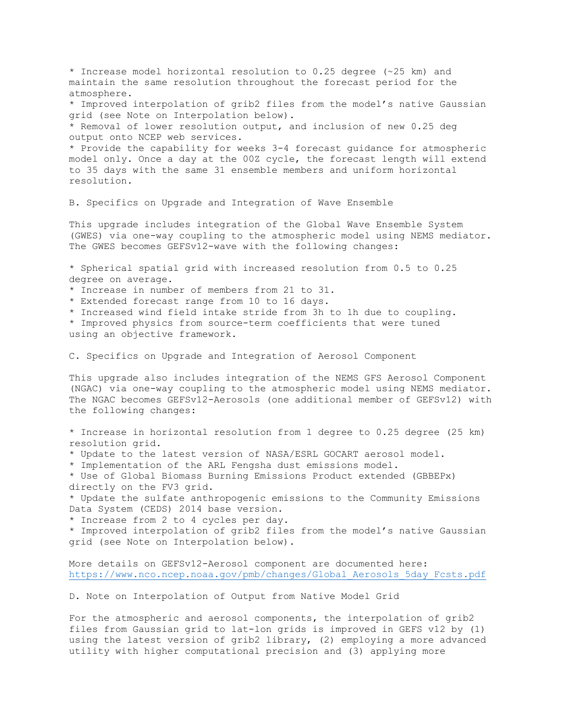\* Increase model horizontal resolution to 0.25 degree (~25 km) and maintain the same resolution throughout the forecast period for the atmosphere. \* Improved interpolation of grib2 files from the model's native Gaussian grid (see Note on Interpolation below). \* Removal of lower resolution output, and inclusion of new 0.25 deg output onto NCEP web services. \* Provide the capability for weeks 3-4 forecast guidance for atmospheric model only. Once a day at the 00Z cycle, the forecast length will extend to 35 days with the same 31 ensemble members and uniform horizontal resolution. B. Specifics on Upgrade and Integration of Wave Ensemble This upgrade includes integration of the Global Wave Ensemble System (GWES) via one-way coupling to the atmospheric model using NEMS mediator. The GWES becomes GEFSv12-wave with the following changes: \* Spherical spatial grid with increased resolution from 0.5 to 0.25 degree on average. \* Increase in number of members from 21 to 31. \* Extended forecast range from 10 to 16 days. \* Increased wind field intake stride from 3h to 1h due to coupling. \* Improved physics from source-term coefficients that were tuned using an objective framework. C. Specifics on Upgrade and Integration of Aerosol Component This upgrade also includes integration of the NEMS GFS Aerosol Component (NGAC) via one-way coupling to the atmospheric model using NEMS mediator. The NGAC becomes GEFSv12-Aerosols (one additional member of GEFSv12) with the following changes: \* Increase in horizontal resolution from 1 degree to 0.25 degree (25 km) resolution grid. \* Update to the latest version of NASA/ESRL GOCART aerosol model. \* Implementation of the ARL Fengsha dust emissions model. \* Use of Global Biomass Burning Emissions Product extended (GBBEPx) directly on the FV3 grid. \* Update the sulfate anthropogenic emissions to the Community Emissions Data System (CEDS) 2014 base version. \* Increase from 2 to 4 cycles per day. \* Improved interpolation of grib2 files from the model's native Gaussian grid (see Note on Interpolation below). More details on GEFSv12-Aerosol component are documented here: [https://www.nco.ncep.noaa.gov/pmb/changes/Global\\_Aerosols\\_5day\\_Fcsts.pdf](https://www.nco.ncep.noaa.gov/pmb/changes/Global_Aerosols_5day_Fcsts.pdf) D. Note on Interpolation of Output from Native Model Grid For the atmospheric and aerosol components, the interpolation of grib2

files from Gaussian grid to lat-lon grids is improved in GEFS v12 by (1) using the latest version of grib2 library, (2) employing a more advanced utility with higher computational precision and (3) applying more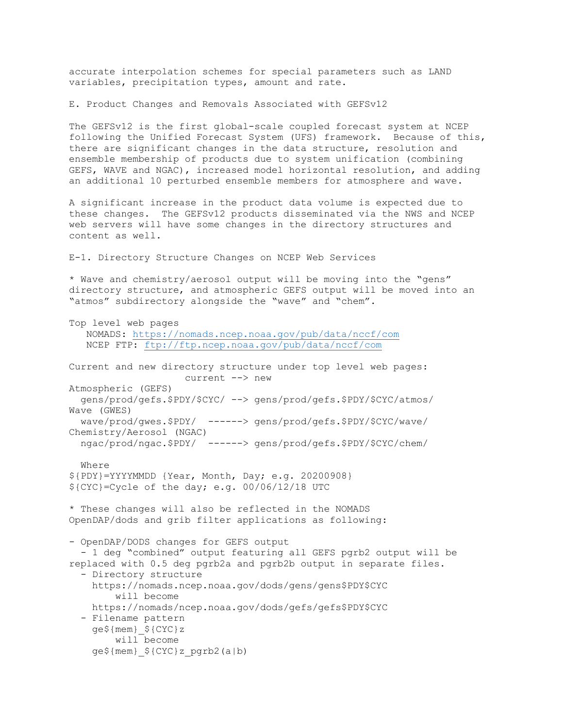accurate interpolation schemes for special parameters such as LAND variables, precipitation types, amount and rate.

E. Product Changes and Removals Associated with GEFSv12

The GEFSv12 is the first global-scale coupled forecast system at NCEP following the Unified Forecast System (UFS) framework. Because of this, there are significant changes in the data structure, resolution and ensemble membership of products due to system unification (combining GEFS, WAVE and NGAC), increased model horizontal resolution, and adding an additional 10 perturbed ensemble members for atmosphere and wave.

A significant increase in the product data volume is expected due to these changes. The GEFSv12 products disseminated via the NWS and NCEP web servers will have some changes in the directory structures and content as well.

E-1. Directory Structure Changes on NCEP Web Services

\* Wave and chemistry/aerosol output will be moving into the "gens" directory structure, and atmospheric GEFS output will be moved into an "atmos" subdirectory alongside the "wave" and "chem".

Top level web pages NOMADS:<https://nomads.ncep.noaa.gov/pub/data/nccf/com> NCEP FTP:<ftp://ftp.ncep.noaa.gov/pub/data/nccf/com> Current and new directory structure under top level web pages: current --> new Atmospheric (GEFS) gens/prod/gefs.\$PDY/\$CYC/ --> gens/prod/gefs.\$PDY/\$CYC/atmos/ Wave (GWES) wave/prod/gwes.\$PDY/ ------> gens/prod/gefs.\$PDY/\$CYC/wave/ Chemistry/Aerosol (NGAC) ngac/prod/ngac.\$PDY/ ------> gens/prod/gefs.\$PDY/\$CYC/chem/ Where \${PDY}=YYYYMMDD {Year, Month, Day; e.g. 20200908} \${CYC}=Cycle of the day; e.g. 00/06/12/18 UTC \* These changes will also be reflected in the NOMADS OpenDAP/dods and grib filter applications as following: - OpenDAP/DODS changes for GEFS output - 1 deg "combined" output featuring all GEFS pgrb2 output will be replaced with 0.5 deg pgrb2a and pgrb2b output in separate files. - Directory structure https://nomads.ncep.noaa.gov/dods/gens/gens\$PDY\$CYC will become https://nomads/ncep.noaa.gov/dods/gefs/gefs\$PDY\$CYC - Filename pattern ge\${mem}\_\${CYC}z will become ge\${mem}\_\${CYC}z\_pgrb2(a|b)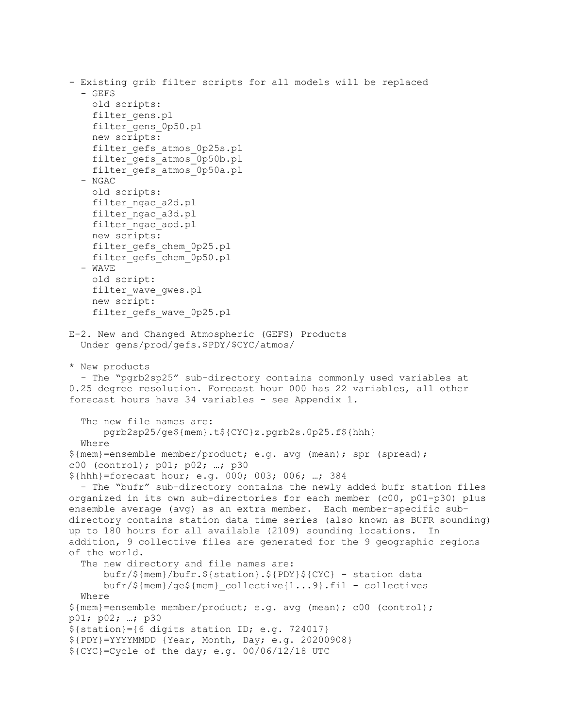```
- Existing grib filter scripts for all models will be replaced
   - GEFS
     old scripts:
     filter_gens.pl
    filter gens 0p50.pl
     new scripts:
    filter gefs atmos 0p25s.pl
    filter gefs atmos 0p50b.pl
     filter_gefs_atmos_0p50a.pl
   - NGAC
     old scripts:
    filter ngac a2d.pl
    filter ngac a3d.pl
    filter ngac aod.pl
     new scripts: 
    filter gefs chem 0p25.pl
     filter_gefs_chem_0p50.pl
   - WAVE
     old script:
    filter wave qwes.pl
     new script:
    filter gefs wave 0p25.pl
E-2. New and Changed Atmospheric (GEFS) Products
   Under gens/prod/gefs.$PDY/$CYC/atmos/
* New products
  - The "pgrb2sp25" sub-directory contains commonly used variables at 
0.25 degree resolution. Forecast hour 000 has 22 variables, all other 
forecast hours have 34 variables - see Appendix 1.
   The new file names are:
       pgrb2sp25/ge${mem}.t${CYC}z.pgrb2s.0p25.f${hhh}
   Where
${mem}=ensemble member/product; e.g. avg (mean); spr (spread); 
c00 (control); p01; p02; …; p30
${hhh}=forecast hour; e.g. 000; 003; 006; …; 384
   - The "bufr" sub-directory contains the newly added bufr station files
organized in its own sub-directories for each member (c00, p01-p30) plus 
ensemble average (avg) as an extra member. Each member-specific sub-
directory contains station data time series (also known as BUFR sounding) 
up to 180 hours for all available (2109) sounding locations. In 
addition, 9 collective files are generated for the 9 geographic regions 
of the world.
   The new directory and file names are:
       bufr/${mem}/bufr.${station}.${PDY}${CYC} - station data
       bufr/${mem}/ge${mem}_collective{1...9}.fil - collectives
   Where
${mem}=ensemble member/product; e.g. avg (mean); c00 (control);
p01; p02; …; p30
${station}={6 digits station ID; e.g. 724017}
${PDY}=YYYYMMDD {Year, Month, Day; e.g. 20200908} 
${CYC}=Cycle of the day; e.g. 00/06/12/18 UTC
```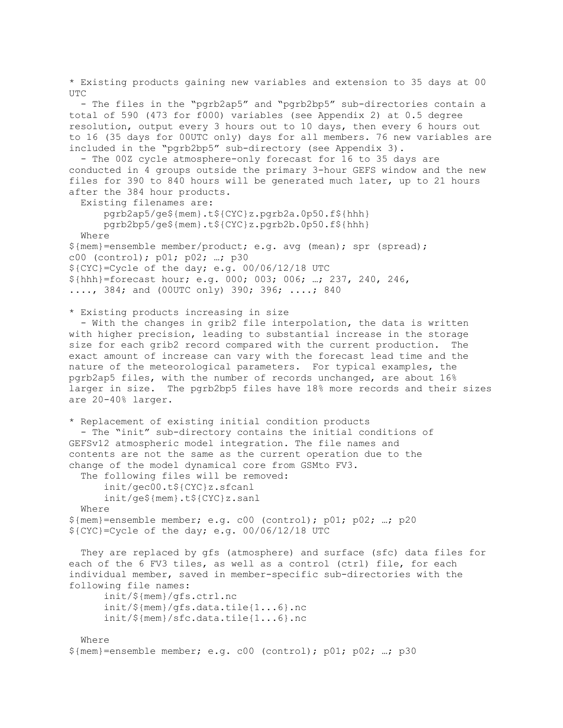\* Existing products gaining new variables and extension to 35 days at 00 UTC - The files in the "pgrb2ap5" and "pgrb2bp5" sub-directories contain a total of 590 (473 for f000) variables (see Appendix 2) at 0.5 degree resolution, output every 3 hours out to 10 days, then every 6 hours out to 16 (35 days for 00UTC only) days for all members. 76 new variables are included in the "pgrb2bp5" sub-directory (see Appendix 3). - The 00Z cycle atmosphere-only forecast for 16 to 35 days are conducted in 4 groups outside the primary 3-hour GEFS window and the new files for 390 to 840 hours will be generated much later, up to 21 hours after the 384 hour products. Existing filenames are: pgrb2ap5/ge\${mem}.t\${CYC}z.pgrb2a.0p50.f\${hhh} pgrb2bp5/ge\${mem}.t\${CYC}z.pgrb2b.0p50.f\${hhh} Where \${mem}=ensemble member/product; e.g. avg (mean); spr (spread); c00 (control); p01; p02; …; p30 \${CYC}=Cycle of the day; e.g. 00/06/12/18 UTC \${hhh}=forecast hour; e.g. 000; 003; 006; …; 237, 240, 246, ...., 384; and (00UTC only) 390; 396; ....; 840 \* Existing products increasing in size - With the changes in grib2 file interpolation, the data is written with higher precision, leading to substantial increase in the storage size for each grib2 record compared with the current production. The exact amount of increase can vary with the forecast lead time and the nature of the meteorological parameters. For typical examples, the pgrb2ap5 files, with the number of records unchanged, are about 16% larger in size. The pgrb2bp5 files have 18% more records and their sizes are 20-40% larger. \* Replacement of existing initial condition products - The "init" sub-directory contains the initial conditions of GEFSv12 atmospheric model integration. The file names and contents are not the same as the current operation due to the change of the model dynamical core from GSMto FV3. The following files will be removed: init/gec00.t\${CYC}z.sfcanl init/ge\${mem}.t\${CYC}z.sanl Where  $${rem}$  = ensemble member; e.g. c00 (control); p01; p02; ...; p20 \${CYC}=Cycle of the day; e.g. 00/06/12/18 UTC They are replaced by gfs (atmosphere) and surface (sfc) data files for each of the 6 FV3 tiles, as well as a control (ctrl) file, for each individual member, saved in member-specific sub-directories with the following file names: init/\${mem}/gfs.ctrl.nc init/\${mem}/gfs.data.tile{1...6}.nc init/\${mem}/sfc.data.tile{1...6}.nc Where

```
${rem} = ensemble member; e.g. c00 (control); p01; p02; ...; p30
```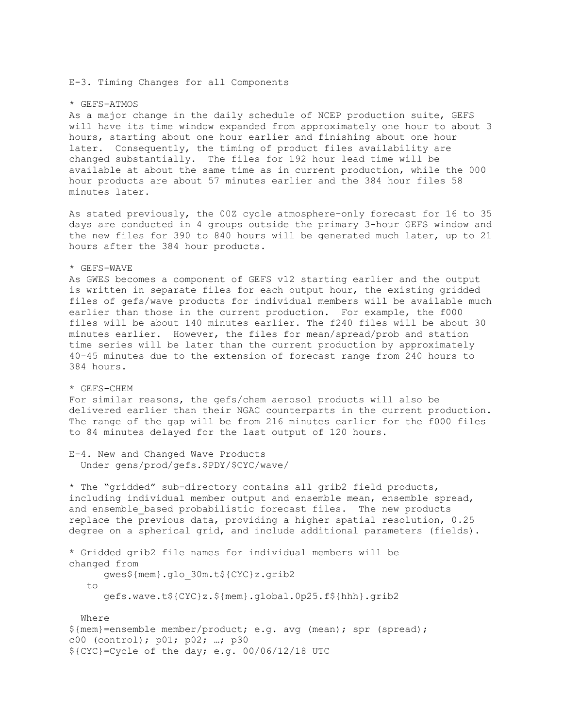E-3. Timing Changes for all Components

## \* GEFS-ATMOS

As a major change in the daily schedule of NCEP production suite, GEFS will have its time window expanded from approximately one hour to about 3 hours, starting about one hour earlier and finishing about one hour later. Consequently, the timing of product files availability are changed substantially. The files for 192 hour lead time will be available at about the same time as in current production, while the 000 hour products are about 57 minutes earlier and the 384 hour files 58 minutes later.

As stated previously, the 00Z cycle atmosphere-only forecast for 16 to 35 days are conducted in 4 groups outside the primary 3-hour GEFS window and the new files for 390 to 840 hours will be generated much later, up to 21 hours after the 384 hour products.

## \* GEFS-WAVE

As GWES becomes a component of GEFS v12 starting earlier and the output is written in separate files for each output hour, the existing gridded files of gefs/wave products for individual members will be available much earlier than those in the current production. For example, the f000 files will be about 140 minutes earlier. The f240 files will be about 30 minutes earlier. However, the files for mean/spread/prob and station time series will be later than the current production by approximately 40-45 minutes due to the extension of forecast range from 240 hours to 384 hours.

## \* GEFS-CHEM

For similar reasons, the gefs/chem aerosol products will also be delivered earlier than their NGAC counterparts in the current production. The range of the gap will be from 216 minutes earlier for the f000 files to 84 minutes delayed for the last output of 120 hours.

```
E-4. New and Changed Wave Products
   Under gens/prod/gefs.$PDY/$CYC/wave/
```
\* The "gridded" sub-directory contains all grib2 field products, including individual member output and ensemble mean, ensemble spread, and ensemble based probabilistic forecast files. The new products replace the previous data, providing a higher spatial resolution, 0.25 degree on a spherical grid, and include additional parameters (fields).

```
* Gridded grib2 file names for individual members will be 
changed from
       gwes${mem}.glo_30m.t${CYC}z.grib2
    to 
       gefs.wave.t${CYC}z.${mem}.global.0p25.f${hhh}.grib2
   Where
${mem}=ensemble member/product; e.g. avg (mean); spr (spread);
c00 (control); p01; p02; …; p30
${CYC}=Cycle of the day; e.g. 00/06/12/18 UTC
```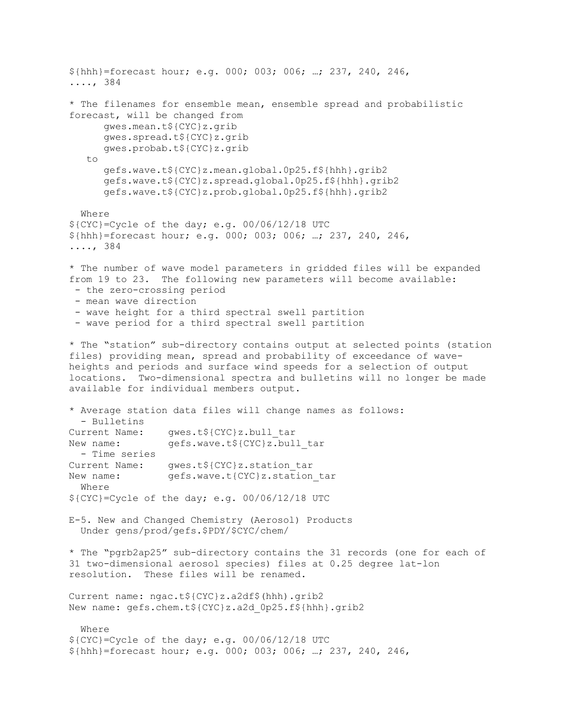```
${hhh}=forecast hour; e.g. 000; 003; 006; …; 237, 240, 246, 
...., 384
* The filenames for ensemble mean, ensemble spread and probabilistic
forecast, will be changed from
      gwes.mean.t${CYC}z.grib
      gwes.spread.t${CYC}z.grib
      gwes.probab.t${CYC}z.grib
    to
      gefs.wave.t${CYC}z.mean.global.0p25.f${hhh}.grib2
      gefs.wave.t${CYC}z.spread.global.0p25.f${hhh}.grib2
      gefs.wave.t${CYC}z.prob.global.0p25.f${hhh}.grib2
   Where
${CYC}=Cycle of the day; e.g. 00/06/12/18 UTC
${hhh}=forecast hour; e.g. 000; 003; 006; …; 237, 240, 246, 
...., 384
* The number of wave model parameters in gridded files will be expanded
from 19 to 23. The following new parameters will become available:
 - the zero-crossing period
 - mean wave direction
 - wave height for a third spectral swell partition
 - wave period for a third spectral swell partition
* The "station" sub-directory contains output at selected points (station
files) providing mean, spread and probability of exceedance of wave-
heights and periods and surface wind speeds for a selection of output
locations. Two-dimensional spectra and bulletins will no longer be made
available for individual members output.
* Average station data files will change names as follows:
  - Bulletins
Current Name: gwes.t${CYC}z.bull_tar<br>New name: gefs.wave.t${CYC}z.bul
                 gefs.wave.t${CYC}z.bull tar
  - Time series
Current Name: gwes.t${CYC}z.station_tar<br>New name: gefs.wave.t{CYC}z.station
                gefs.wave.t{CYC}z.station tar
  Where
${CYC}=Cycle of the day; e.g. 00/06/12/18 UTC
E-5. New and Changed Chemistry (Aerosol) Products
  Under gens/prod/gefs.$PDY/$CYC/chem/
* The "pgrb2ap25" sub-directory contains the 31 records (one for each of
31 two-dimensional aerosol species) files at 0.25 degree lat-lon
resolution. These files will be renamed.
Current name: ngac.t${CYC}z.a2df$(hhh).grib2
New name: gefs.chem.t${CYC}z.a2d_0p25.f${hhh}.grib2
   Where
${CYC}=Cycle of the day; e.g. 00/06/12/18 UTC
${hhh}=forecast hour; e.g. 000; 003; 006; …; 237, 240, 246,
```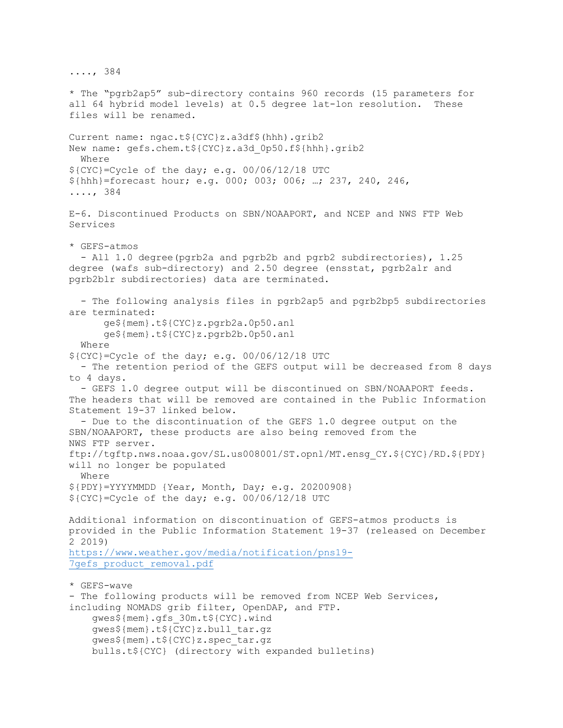...., 384 \* The "pgrb2ap5" sub-directory contains 960 records (15 parameters for all 64 hybrid model levels) at 0.5 degree lat-lon resolution. files will be renamed. Current name: ngac.t\${CYC}z.a3df\$(hhh).grib2 New name: gefs.chem.t\${CYC}z.a3d\_0p50.f\${hhh}.grib2 Where \${CYC}=Cycle of the day; e.g. 00/06/12/18 UTC \${hhh}=forecast hour; e.g. 000; 003; 006; …; 237, 240, 246, ...., 384 E-6. Discontinued Products on SBN/NOAAPORT, and NCEP and NWS FTP Web Services \* GEFS-atmos - All 1.0 degree(pgrb2a and pgrb2b and pgrb2 subdirectories), 1.25 degree (wafs sub-directory) and 2.50 degree (ensstat, pgrb2alr and pgrb2blr subdirectories) data are terminated. - The following analysis files in pgrb2ap5 and pgrb2bp5 subdirectories are terminated: ge\${mem}.t\${CYC}z.pgrb2a.0p50.anl ge\${mem}.t\${CYC}z.pgrb2b.0p50.anl Where \${CYC}=Cycle of the day; e.g. 00/06/12/18 UTC - The retention period of the GEFS output will be decreased from 8 days to 4 days. - GEFS 1.0 degree output will be discontinued on SBN/NOAAPORT feeds. The headers that will be removed are contained in the Public Information Statement 19-37 linked below. - Due to the discontinuation of the GEFS 1.0 degree output on the SBN/NOAAPORT, these products are also being removed from the NWS FTP server. ftp://tgftp.nws.noaa.gov/SL.us008001/ST.opnl/MT.ensg\_CY.\${CYC}/RD.\${PDY} will no longer be populated Where \${PDY}=YYYYMMDD {Year, Month, Day; e.g. 20200908} \${CYC}=Cycle of the day; e.g. 00/06/12/18 UTC Additional information on discontinuation of GEFS-atmos products is provided in the Public Information Statement 19-37 (released on December 2 2019) [https://www.weather.gov/media/notification/pns19-](https://www.weather.gov/media/notification/pns19-7gefs_product_removal.pdf) 7gefs product removal.pdf \* GEFS-wave - The following products will be removed from NCEP Web Services, including NOMADS grib filter, OpenDAP, and FTP. gwes\${mem}.gfs\_30m.t\${CYC}.wind gwes\${mem}.t\${CYC}z.bull\_tar.gz gwes\${mem}.t\${CYC}z.spec\_tar.gz bulls.t\${CYC} (directory with expanded bulletins)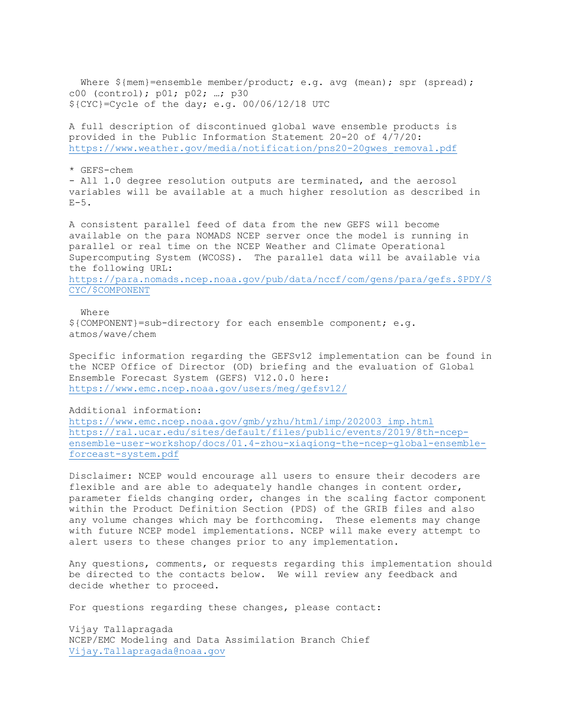Where  $\frac{1}{2}$  (mem}=ensemble member/product; e.g. avg (mean); spr (spread); c00 (control); p01; p02; …; p30 \${CYC}=Cycle of the day; e.g. 00/06/12/18 UTC

A full description of discontinued global wave ensemble products is provided in the Public Information Statement 20-20 of 4/7/20: [https://www.weather.gov/media/notification/pns20-20gwes\\_removal.pdf](https://www.weather.gov/media/notification/pns20-20gwes_removal.pdf)

\* GEFS-chem

- All 1.0 degree resolution outputs are terminated, and the aerosol variables will be available at a much higher resolution as described in  $E-5$ .

A consistent parallel feed of data from the new GEFS will become available on the para NOMADS NCEP server once the model is running in parallel or real time on the NCEP Weather and Climate Operational Supercomputing System (WCOSS). The parallel data will be available via the following URL: [https://para.nomads.ncep.noaa.gov/pub/data/nccf/com/gens/para/gefs.\\$PDY/\\$](https://para.nomads.ncep.noaa.gov/pub/data/nccf/com/gens/para/gefs.$PDY/$CYC/$COMPONENT)

[CYC/\\$COMPONENT](https://para.nomads.ncep.noaa.gov/pub/data/nccf/com/gens/para/gefs.$PDY/$CYC/$COMPONENT)

 Where \${COMPONENT}=sub-directory for each ensemble component; e.g. atmos/wave/chem

Specific information regarding the GEFSv12 implementation can be found in the NCEP Office of Director (OD) briefing and the evaluation of Global Ensemble Forecast System (GEFS) V12.0.0 here: <https://www.emc.ncep.noaa.gov/users/meg/gefsv12/>

Additional information:

[https://www.emc.ncep.noaa.gov/gmb/yzhu/html/imp/202003\\_imp.html](https://www.emc.ncep.noaa.gov/gmb/yzhu/html/imp/202003_imp.html) [https://ral.ucar.edu/sites/default/files/public/events/2019/8th-ncep](https://ral.ucar.edu/sites/default/files/public/events/2019/8th-ncep-ensemble-user-workshop/docs/01.4-zhou-xiaqiong-the-ncep-global-ensemble-forceast-system.pdf)[ensemble-user-workshop/docs/01.4-zhou-xiaqiong-the-ncep-global-ensemble](https://ral.ucar.edu/sites/default/files/public/events/2019/8th-ncep-ensemble-user-workshop/docs/01.4-zhou-xiaqiong-the-ncep-global-ensemble-forceast-system.pdf)[forceast-system.pdf](https://ral.ucar.edu/sites/default/files/public/events/2019/8th-ncep-ensemble-user-workshop/docs/01.4-zhou-xiaqiong-the-ncep-global-ensemble-forceast-system.pdf)

Disclaimer: NCEP would encourage all users to ensure their decoders are flexible and are able to adequately handle changes in content order, parameter fields changing order, changes in the scaling factor component within the Product Definition Section (PDS) of the GRIB files and also any volume changes which may be forthcoming. These elements may change with future NCEP model implementations. NCEP will make every attempt to alert users to these changes prior to any implementation.

Any questions, comments, or requests regarding this implementation should be directed to the contacts below. We will review any feedback and decide whether to proceed.

For questions regarding these changes, please contact:

Vijay Tallapragada NCEP/EMC Modeling and Data Assimilation Branch Chief [Vijay.Tallapragada@noaa.gov](mailto:Vijay.Tallapragada@noaa.gov)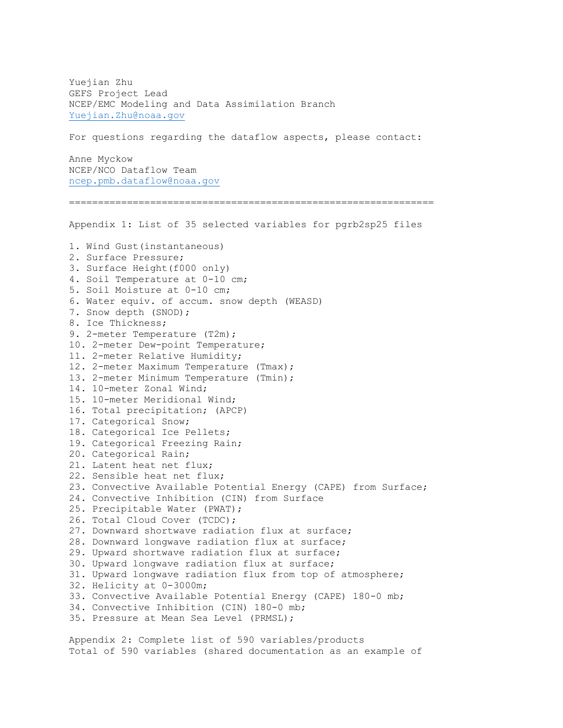Yuejian Zhu GEFS Project Lead NCEP/EMC Modeling and Data Assimilation Branch [Yuejian.Zhu@noaa.gov](mailto:Yuejian.Zhu@noaa.gov) For questions regarding the dataflow aspects, please contact: Anne Myckow NCEP/NCO Dataflow Team [ncep.pmb.dataflow@noaa.gov](mailto:ncep.pmb.dataflow@noaa.gov) =============================================================== Appendix 1: List of 35 selected variables for pgrb2sp25 files 1. Wind Gust(instantaneous) 2. Surface Pressure; 3. Surface Height(f000 only) 4. Soil Temperature at 0-10 cm; 5. Soil Moisture at 0-10 cm; 6. Water equiv. of accum. snow depth (WEASD) 7. Snow depth (SNOD); 8. Ice Thickness; 9. 2-meter Temperature (T2m); 10. 2-meter Dew-point Temperature; 11. 2-meter Relative Humidity; 12. 2-meter Maximum Temperature (Tmax); 13. 2-meter Minimum Temperature (Tmin); 14. 10-meter Zonal Wind; 15. 10-meter Meridional Wind; 16. Total precipitation; (APCP) 17. Categorical Snow; 18. Categorical Ice Pellets; 19. Categorical Freezing Rain; 20. Categorical Rain; 21. Latent heat net flux; 22. Sensible heat net flux; 23. Convective Available Potential Energy (CAPE) from Surface; 24. Convective Inhibition (CIN) from Surface 25. Precipitable Water (PWAT); 26. Total Cloud Cover (TCDC); 27. Downward shortwave radiation flux at surface; 28. Downward longwave radiation flux at surface; 29. Upward shortwave radiation flux at surface; 30. Upward longwave radiation flux at surface; 31. Upward longwave radiation flux from top of atmosphere; 32. Helicity at 0-3000m; 33. Convective Available Potential Energy (CAPE) 180-0 mb; 34. Convective Inhibition (CIN) 180-0 mb; 35. Pressure at Mean Sea Level (PRMSL);

Appendix 2: Complete list of 590 variables/products Total of 590 variables (shared documentation as an example of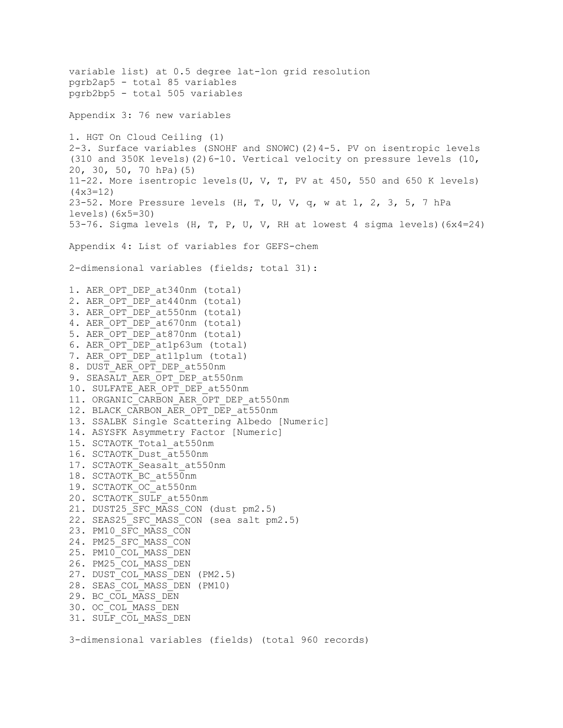```
variable list) at 0.5 degree lat-lon grid resolution
pgrb2ap5 - total 85 variables 
pgrb2bp5 - total 505 variables 
Appendix 3: 76 new variables
1. HGT On Cloud Ceiling (1)
2-3. Surface variables (SNOHF and SNOWC)(2)4-5. PV on isentropic levels
(310 and 350K levels)(2)6-10. Vertical velocity on pressure levels (10,
20, 30, 50, 70 hPa)(5)
11-22. More isentropic levels(U, V, T, PV at 450, 550 and 650 K levels)
(4x3=12)
23-52. More Pressure levels (H, T, U, V, q, w at 1, 2, 3, 5, 7 hPa
levels)(6x5=30)
53-76. Sigma levels (H, T, P, U, V, RH at lowest 4 sigma levels)(6x4=24)
Appendix 4: List of variables for GEFS-chem
2-dimensional variables (fields; total 31):
1. AER OPT DEP at340nm (total)
2. AER OPT DEP at440nm (total)
3. AER OPT DEP at550nm (total)
4. AER OPT DEP at670nm (total)
5. AER_OPT_DEP_at870nm (total)
6. AER_OPT_DEP_at1p63um (total)
7. AER OPT DEP at11p1um (total)
8. DUST AER OPT DEP at550nm
9. SEASALT AER OPT DEP at550nm
10. SULFATE AER OPT DEP at550nm
11. ORGANIC CARBON AER OPT DEP at550nm
12. BLACK CARBON AER OPT DEP at550nm
13. SSALBK Single Scattering Albedo [Numeric]
14. ASYSFK Asymmetry Factor [Numeric]
15. SCTAOTK_Total_at550nm
16. SCTAOTK_Dust_at550nm
17. SCTAOTK Seasalt at550nm
18. SCTAOTK_BC_at550nm
19. SCTAOTK_OC_at550nm
20. SCTAOTK_SULF_at550nm
21. DUST25 SFC MASS CON (dust pm2.5)
22. SEAS25 SFC MASS CON (sea salt pm2.5)
23. PM10_SFC_MASS_CON
24. PM25_SFC_MASS_CON
25. PM10_COL_MASS_DEN
26. PM25_COL_MASS_DEN
27. DUST_COL_MASS_DEN (PM2.5)
28. SEAS_COL_MASS_DEN (PM10)
29. BC COL MASS DEN
30. OC_COL_MASS_DEN
31. SULF_COL_MASS_DEN
3-dimensional variables (fields) (total 960 records)
```